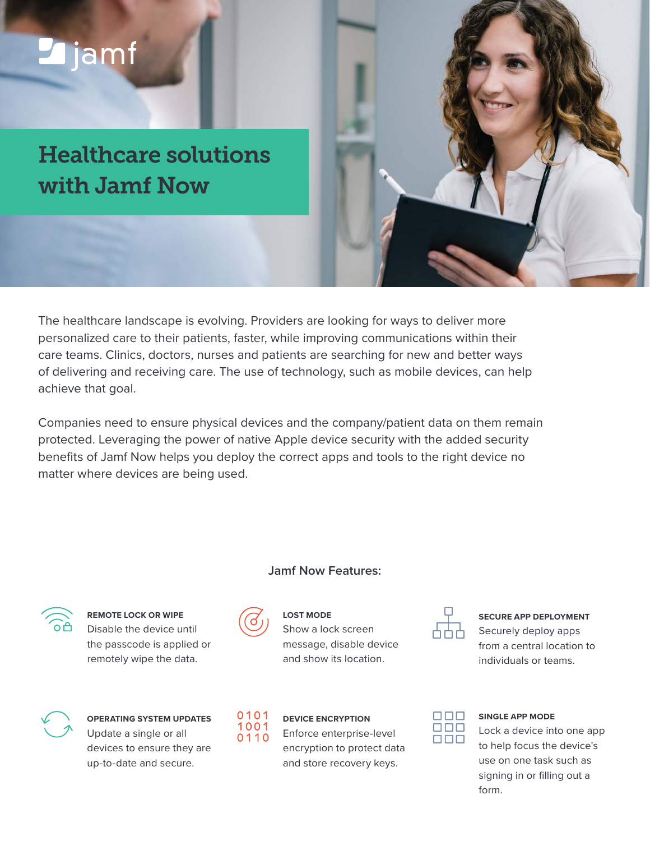# ljamf

Healthcare solutions with Jamf Now



Companies need to ensure physical devices and the company/patient data on them remain protected. Leveraging the power of native Apple device security with the added security benefits of Jamf Now helps you deploy the correct apps and tools to the right device no matter where devices are being used.

#### **Jamf Now Features:**



**REMOTE LOCK OR WIPE** Disable the device until the passcode is applied or remotely wipe the data.



**OPERATING SYSTEM UPDATES** Update a single or all devices to ensure they are up-to-date and secure.



**LOST MODE**

Show a lock screen message, disable device and show its location.



**DEVICE ENCRYPTION**

Enforce enterprise-level encryption to protect data and store recovery keys.



**SECURE APP DEPLOYMENT** Securely deploy apps from a central location to individuals or teams.



#### **SINGLE APP MODE**

Lock a device into one app to help focus the device's use on one task such as signing in or filling out a form.